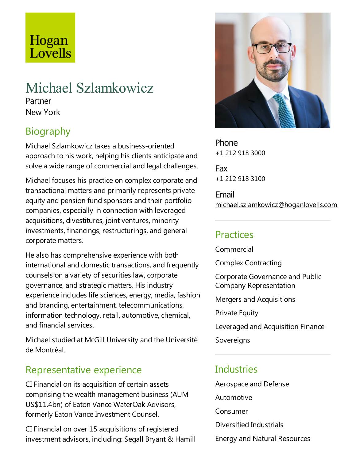# Hogan Lovells

# Michael Szlamkowicz

Partner New York

# Biography

Michael Szlamkowicz takes a business-oriented approach to his work, helping his clients anticipate and solve a wide range of commercial and legal challenges.

Michael focuses his practice on complex corporate and transactional matters and primarily represents private equity and pension fund sponsors and their portfolio companies, especially in connection with leveraged acquisitions, divestitures, joint ventures, minority investments, financings, restructurings, and general corporate matters.

He also has comprehensive experience with both international and domestic transactions, and frequently counsels on a variety of securities law, corporate governance, and strategic matters. His industry experience includes life sciences, energy, media, fashion and branding, entertainment, telecommunications, information technology, retail, automotive, chemical, and financial services.

Michael studied at McGill University and the Université de Montréal.

## Representative experience

CIFinancial on its acquisition of certain assets comprising the wealth management business (AUM US\$11.4bn) of Eaton Vance WaterOak Advisors, formerly Eaton Vance Investment Counsel.

CI Financial on over 15 acquisitions of registered investment advisors, including: Segall Bryant & Hamill



Phone +1 212 918 3000

Fax +1 212 918 3100

Email michael.szlamkowicz@hoganlovells.com

# **Practices**

Commercial

Complex Contracting

Corporate Governanceand Public Company Representation

Mergers and Acquisitions

**Private Equity** 

Leveraged and Acquisition Finance

Sovereigns

# **Industries**

Aerospace and Defense

Automotive

Consumer

Diversified Industrials

Energy and Natural Resources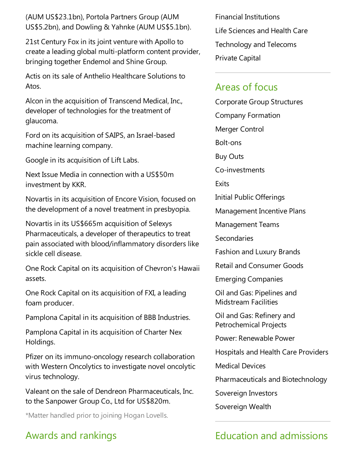(AUM US\$23.1bn), Portola Partners Group (AUM US\$5.2bn), and Dowling & Yahnke (AUM US\$5.1bn).

21st Century Fox in its joint venture with Apollo to create a leading global multi-platform content provider, bringing together Endemol and Shine Group.

Actis on its sale of Anthelio Healthcare Solutions to Atos.

Alcon in the acquisition of Transcend Medical, Inc., developer of technologies for the treatment of glaucoma.

Ford on its acquisition of SAIPS, an Israel-based machine learning company.

Google in its acquisition of Lift Labs.

Next Issue Media in connection with a US\$50m investment by KKR.

Novartis in its acquisition of Encore Vision, focused on the development of a novel treatment in presbyopia.

Novartis in its US\$665m acquisition of Selexys Pharmaceuticals, a developer of therapeutics to treat pain associated with blood/inflammatory disorders like sicklecell disease.

One Rock Capital on its acquisition of Chevron's Hawaii assets.

One Rock Capital on its acquisition of FXI, a leading foam producer.

Pamplona Capital in its acquisition of BBB Industries.

Pamplona Capital in its acquisition of Charter Nex Holdings.

Pfizer on its immuno-oncology research collaboration with Western Oncolytics to investigate novel oncolytic virus technology.

Valeant on thesale of Dendreon Pharmaceuticals, Inc. to the Sanpower Group Co., Ltd for US\$820m.

\*Matter handled prior to joining Hogan Lovells.

## Awards and rankings

Financial Institutions Life Sciences and Health Care Technology and Telecoms Private Capital

#### Areas of focus

Corporate Group Structures Company Formation Merger Control Bolt-ons Buy Outs Co-investments **Fxits** Initial Public Offerings Management Incentive Plans Management Teams **Secondaries** Fashion and Luxury Brands Retail and Consumer Goods Emerging Companies Oil and Gas: Pipelines and Midstream Facilities Oil and Gas: Refinery and Petrochemical Projects

Power: Renewable Power

Hospitals and Health Care Providers

Medical Devices

Pharmaceuticals and Biotechnology

Sovereign Investors

Sovereign Wealth

# Education and admissions